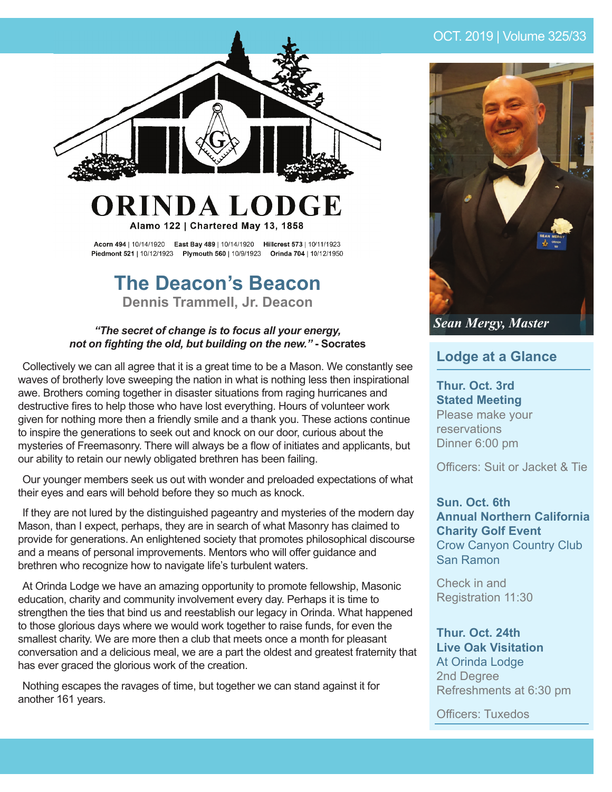

# ORINDA LODGE Alamo 122 | Chartered May 13, 1858

Acorn 494 | 10/14/1920 East Bay 489 | 10/14/1920 Hillcrest 573 | 10/11/1923 Piedmont 521 | 10/12/1923 Plymouth 560 | 10/9/1923 Orinda 704 | 10/12/1950

# **The Deacon's Beacon Dennis Trammell, Jr. Deacon**

#### *"The secret of change is to focus all your energy, not on fighting the old, but building on the new.*" - Socrates

Collectively we can all agree that it is a great time to be a Mason. We constantly see waves of brotherly love sweeping the nation in what is nothing less then inspirational awe. Brothers coming together in disaster situations from raging hurricanes and destructive fires to help those who have lost everything. Hours of volunteer work given for nothing more then a friendly smile and a thank you. These actions continue to inspire the generations to seek out and knock on our door, curious about the mysteries of Freemasonry. There will always be a flow of initiates and applicants, but our ability to retain our newly obligated brethren has been failing.

Our younger members seek us out with wonder and preloaded expectations of what their eyes and ears will behold before they so much as knock.

If they are not lured by the distinguished pageantry and mysteries of the modern day Mason, than I expect, perhaps, they are in search of what Masonry has claimed to provide for generations. An enlightened society that promotes philosophical discourse and a means of personal improvements. Mentors who will offer guidance and brethren who recognize how to navigate life's turbulent waters.

At Orinda Lodge we have an amazing opportunity to promote fellowship, Masonic education, charity and community involvement every day. Perhaps it is time to strengthen the ties that bind us and reestablish our legacy in Orinda. What happened to those glorious days where we would work together to raise funds, for even the smallest charity. We are more then a club that meets once a month for pleasant conversation and a delicious meal, we are a part the oldest and greatest fraternity that has ever graced the glorious work of the creation.

Nothing escapes the ravages of time, but together we can stand against it for another 161 years.

## OCT. 2019 | Volume 325/33



## **Lodge at a Glance**

**Thur. Oct. 3rd Stated Meeting** Please make your reservations Dinner 6:00 pm

Officers: Suit or Jacket & Tie

#### **Sun. Oct. 6th Annual Northern California Charity Golf Event** Crow Canyon Country Club San Ramon

Check in and Registration 11:30

#### **Thur. Oct. 24th Live Oak Visitation** At Orinda Lodge 2nd Degree Refreshments at 6:30 pm

Officers: Tuxedos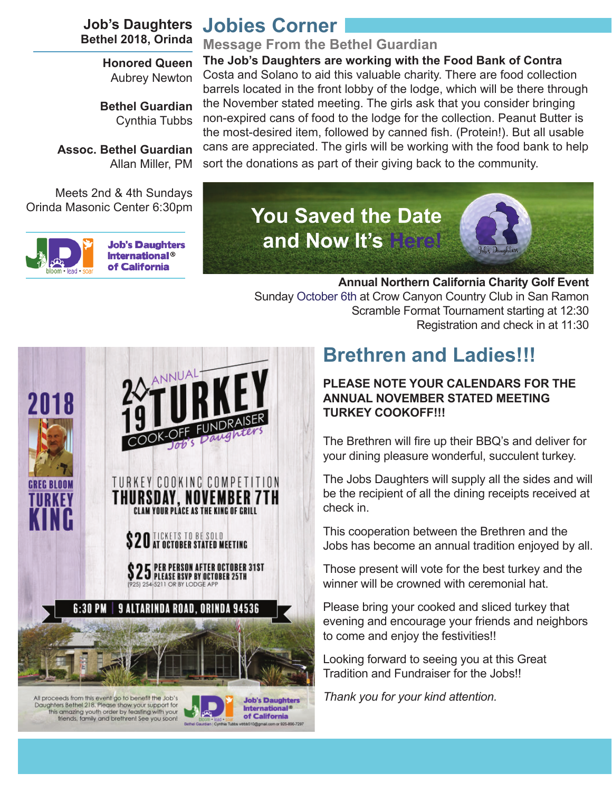**Job's Daughters Bethel 2018, Orinda**

> **Honored Queen** Aubrey Newton

**Bethel Guardian** Cynthia Tubbs

**Assoc. Bethel Guardian** Allan Miller, PM

Meets 2nd & 4th Sundays Orinda Masonic Center 6:30pm



**Job's Daughters International®** of California

# **Jobies Corner**

### **Message From the Bethel Guardian**

**The Job's Daughters are working with the Food Bank of Contra**  Costa and Solano to aid this valuable charity. There are food collection barrels located in the front lobby of the lodge, which will be there through the November stated meeting. The girls ask that you consider bringing non-expired cans of food to the lodge for the collection. Peanut Butter is the most-desired item, followed by canned fish. (Protein!). But all usable cans are appreciated. The girls will be working with the food bank to help sort the donations as part of their giving back to the community.



**Annual Northern California Charity Golf Event** Sunday October 6th at Crow Canyon Country Club in San Ramon Scramble Format Tournament starting at 12:30 Registration and check in at 11:30



All proceeds from this event go to benefit the Job's<br>Daughters Bethel 218. Please show your support for<br>this amazing youth order by feasing with your<br>thends, family and brethrent See you soon!



# **Brethren and Ladies!!!**

### **PLEASE NOTE YOUR CALENDARS FOR THE ANNUAL NOVEMBER STATED MEETING TURKEY COOKOFF!!!**

The Brethren will fire up their BBQ's and deliver for your dining pleasure wonderful, succulent turkey.

The Jobs Daughters will supply all the sides and will be the recipient of all the dining receipts received at check in.

This cooperation between the Brethren and the Jobs has become an annual tradition enjoyed by all.

Those present will vote for the best turkey and the winner will be crowned with ceremonial hat.

Please bring your cooked and sliced turkey that evening and encourage your friends and neighbors to come and enjoy the festivities!!

Looking forward to seeing you at this Great Tradition and Fundraiser for the Jobs!!

*Thank you for your kind attention.*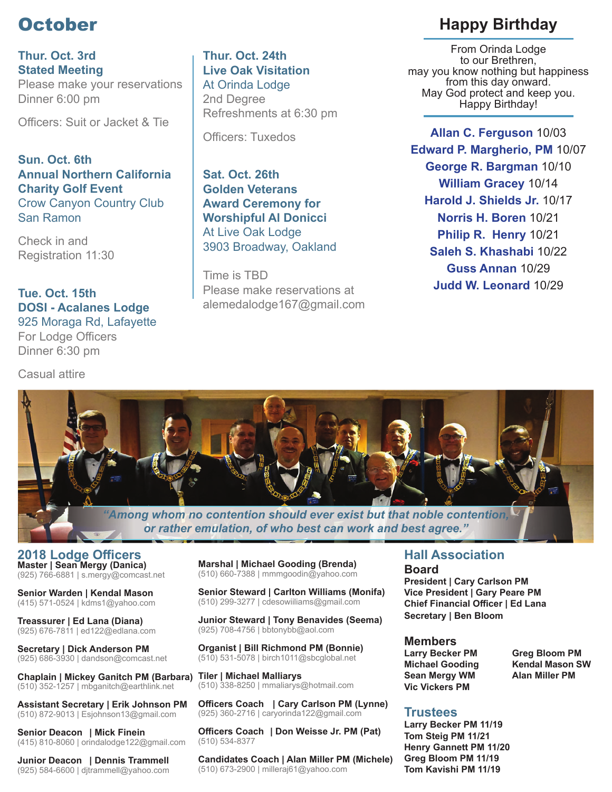# **October**

**Thur. Oct. 3rd Stated Meeting** Please make your reservations Dinner 6:00 pm

Officers: Suit or Jacket & Tie

**Sun. Oct. 6th Annual Northern California Charity Golf Event** Crow Canyon Country Club San Ramon

Check in and Registration 11:30

#### **Tue. Oct. 15th DOSI - Acalanes Lodge** 925 Moraga Rd, Lafayette For Lodge Officers

Dinner 6:30 pm

Casual attire

**Thur. Oct. 24th Live Oak Visitation** At Orinda Lodge 2nd Degree Refreshments at 6:30 pm

Officers: Tuxedos

**Sat. Oct. 26th Golden Veterans Award Ceremony for Worshipful Al Donicci** At Live Oak Lodge 3903 Broadway, Oakland

Time is TBD Please make reservations at alemedalodge167@gmail.com

## **Happy Birthday**

From Orinda Lodge to our Brethren, may you know nothing but happiness from this day onward. May God protect and keep you. Happy Birthday!

**Allan C. Ferguson** 10/03 **Edward P. Margherio, PM** 10/07 **George R. Bargman** 10/10 **William Gracey** 10/14 **Harold J. Shields Jr.** 10/17 **Norris H. Boren** 10/21 **Philip R. Henry** 10/21 **Saleh S. Khashabi** 10/22 **Guss Annan** 10/29 **Judd W. Leonard** 10/29



*"Among whom no contention should ever exist but that noble contention, or rather emulation, of who best can work and best agree."*

**2018 Lodge Offi cers Master | Sean Mergy (Danica)**  (925) 766-6881 | s.mergy@comcast.net

**Senior Warden | Kendal Mason** (415) 571-0524 | kdms1@yahoo.com

**Treassurer | Ed Lana (Diana)** (925) 676-7811 | ed122@edlana.com

**Secretary | Dick Anderson PM** (925) 686-3930 | dandson@comcast.net

**Chaplain | Mickey Ganitch PM (Barbara) Tiler | Michael Malliarys** (510) 352-1257 | mbganitch@earthlink.net

**Assistant Secretary | Erik Johnson PM** (510) 872-9013 | Esjohnson13@gmail.com

**Senior Deacon | Mick Finein** (415) 810-8060 | orindalodge122@gmail.com

**Junior Deacon | Dennis Trammell** (925) 584-6600 | djtrammell@yahoo.com **Marshal | Michael Gooding (Brenda)** (510) 660-7388 | mmmgoodin@yahoo.com

**Senior Steward | Carlton Williams (Monifa)** (510) 299-3277 | cdesowiiliams@gmail.com

**Junior Steward | Tony Benavides (Seema)** (925) 708-4756 | bbtonybb@aol.com

**Organist | Bill Richmond PM (Bonnie)** (510) 531-5078 | birch1011@sbcglobal.net

(510) 338-8250 | mmaliarys@hotmail.com

**Officers Coach | Cary Carlson PM (Lynne)** (925) 360-2716 | caryorinda122@gmail.com

**Officers Coach | Don Weisse Jr. PM (Pat)** (510) 534-8377

**Candidates Coach | Alan Miller PM (Michele)** (510) 673-2900 | milleraj61@yahoo.com

# **Hall Association**

**Board President | Cary Carlson PM Vice President | Gary Peare PM Chief Financial Officer | Ed Lana Secretary | Ben Bloom**

#### **Members**

**Larry Becker PM Greg Bloom PM Sean Mergy WM Alan Miller PM Vic Vickers PM**

**Michael Gooding Kendal Mason SW** 

## **Trustees**

**Larry Becker PM 11/19 Tom Steig PM 11/21 Henry Gannett PM 11/20 Greg Bloom PM 11/19 Tom Kavishi PM 11/19**